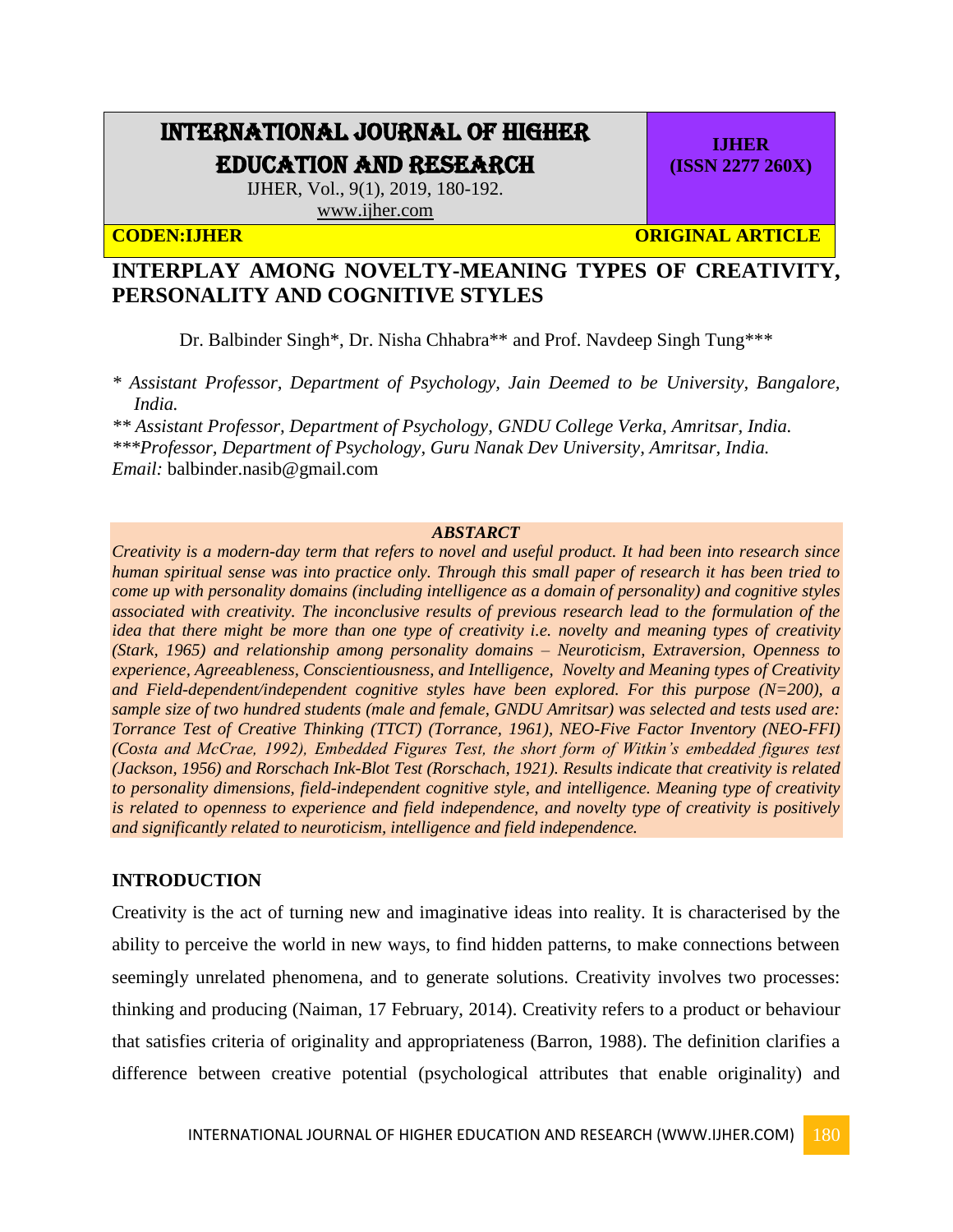# INTERNATIONAL JOURNAL OF HIGHER EDUCATION AND RESEARCH

IJHER, Vol., 9(1), 2019, 180-192. [www.ijher.com](http://www.ijher.com/)

**CODEN:IJHER ORIGINAL ARTICLE** 

**IJHER (ISSN 2277 260X)**

# **INTERPLAY AMONG NOVELTY-MEANING TYPES OF CREATIVITY, PERSONALITY AND COGNITIVE STYLES**

Dr. Balbinder Singh\*, Dr. Nisha Chhabra\*\* and Prof. Navdeep Singh Tung\*\*\*

*\* Assistant Professor, Department of Psychology, Jain Deemed to be University, Bangalore, India.*

*\*\* Assistant Professor, Department of Psychology, GNDU College Verka, Amritsar, India. \*\*\*Professor, Department of Psychology, Guru Nanak Dev University, Amritsar, India. Email:* [balbinder.nasib@gmail.com](mailto:balbinder.nasib@gmail.com)

## *ABSTARCT*

*Creativity is a modern-day term that refers to novel and useful product. It had been into research since human spiritual sense was into practice only. Through this small paper of research it has been tried to come up with personality domains (including intelligence as a domain of personality) and cognitive styles associated with creativity. The inconclusive results of previous research lead to the formulation of the idea that there might be more than one type of creativity i.e. novelty and meaning types of creativity (Stark, 1965) and relationship among personality domains – Neuroticism, Extraversion, Openness to experience, Agreeableness, Conscientiousness, and Intelligence, Novelty and Meaning types of Creativity and Field-dependent/independent cognitive styles have been explored. For this purpose (N=200), a sample size of two hundred students (male and female, GNDU Amritsar) was selected and tests used are: Torrance Test of Creative Thinking (TTCT) (Torrance, 1961), NEO-Five Factor Inventory (NEO-FFI) (Costa and McCrae, 1992), Embedded Figures Test, the short form of Witkin's embedded figures test (Jackson, 1956) and Rorschach Ink-Blot Test (Rorschach, 1921). Results indicate that creativity is related to personality dimensions, field-independent cognitive style, and intelligence. Meaning type of creativity is related to openness to experience and field independence, and novelty type of creativity is positively and significantly related to neuroticism, intelligence and field independence.* 

#### **INTRODUCTION**

Creativity is the act of turning new and imaginative ideas into reality. It is characterised by the ability to perceive the world in new ways, to find hidden patterns, to make connections between seemingly unrelated phenomena, and to generate solutions. Creativity involves two processes: thinking and producing (Naiman, 17 February, 2014). Creativity refers to a product or behaviour that satisfies criteria of originality and appropriateness (Barron, 1988). The definition clarifies a difference between creative potential (psychological attributes that enable originality) and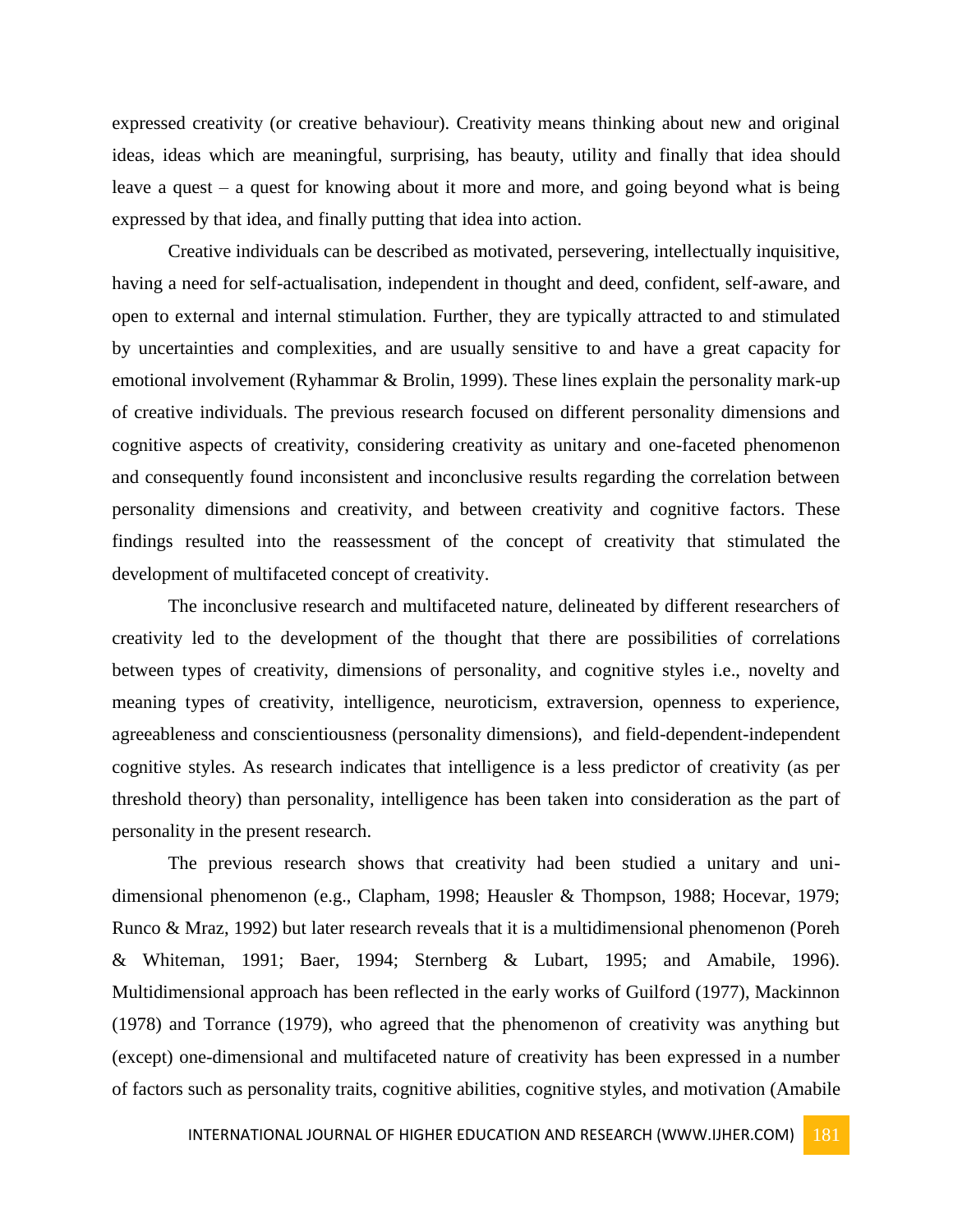expressed creativity (or creative behaviour). Creativity means thinking about new and original ideas, ideas which are meaningful, surprising, has beauty, utility and finally that idea should leave a quest – a quest for knowing about it more and more, and going beyond what is being expressed by that idea, and finally putting that idea into action.

Creative individuals can be described as motivated, persevering, intellectually inquisitive, having a need for self-actualisation, independent in thought and deed, confident, self-aware, and open to external and internal stimulation. Further, they are typically attracted to and stimulated by uncertainties and complexities, and are usually sensitive to and have a great capacity for emotional involvement (Ryhammar & Brolin, 1999). These lines explain the personality mark-up of creative individuals. The previous research focused on different personality dimensions and cognitive aspects of creativity, considering creativity as unitary and one-faceted phenomenon and consequently found inconsistent and inconclusive results regarding the correlation between personality dimensions and creativity, and between creativity and cognitive factors. These findings resulted into the reassessment of the concept of creativity that stimulated the development of multifaceted concept of creativity.

The inconclusive research and multifaceted nature, delineated by different researchers of creativity led to the development of the thought that there are possibilities of correlations between types of creativity, dimensions of personality, and cognitive styles i.e., novelty and meaning types of creativity, intelligence, neuroticism, extraversion, openness to experience, agreeableness and conscientiousness (personality dimensions), and field-dependent-independent cognitive styles. As research indicates that intelligence is a less predictor of creativity (as per threshold theory) than personality, intelligence has been taken into consideration as the part of personality in the present research.

The previous research shows that creativity had been studied a unitary and unidimensional phenomenon (e.g., Clapham, 1998; Heausler & Thompson, 1988; Hocevar, 1979; Runco & Mraz, 1992) but later research reveals that it is a multidimensional phenomenon (Poreh & Whiteman, 1991; Baer, 1994; Sternberg & Lubart, 1995; and Amabile, 1996). Multidimensional approach has been reflected in the early works of Guilford (1977), Mackinnon (1978) and Torrance (1979), who agreed that the phenomenon of creativity was anything but (except) one-dimensional and multifaceted nature of creativity has been expressed in a number of factors such as personality traits, cognitive abilities, cognitive styles, and motivation (Amabile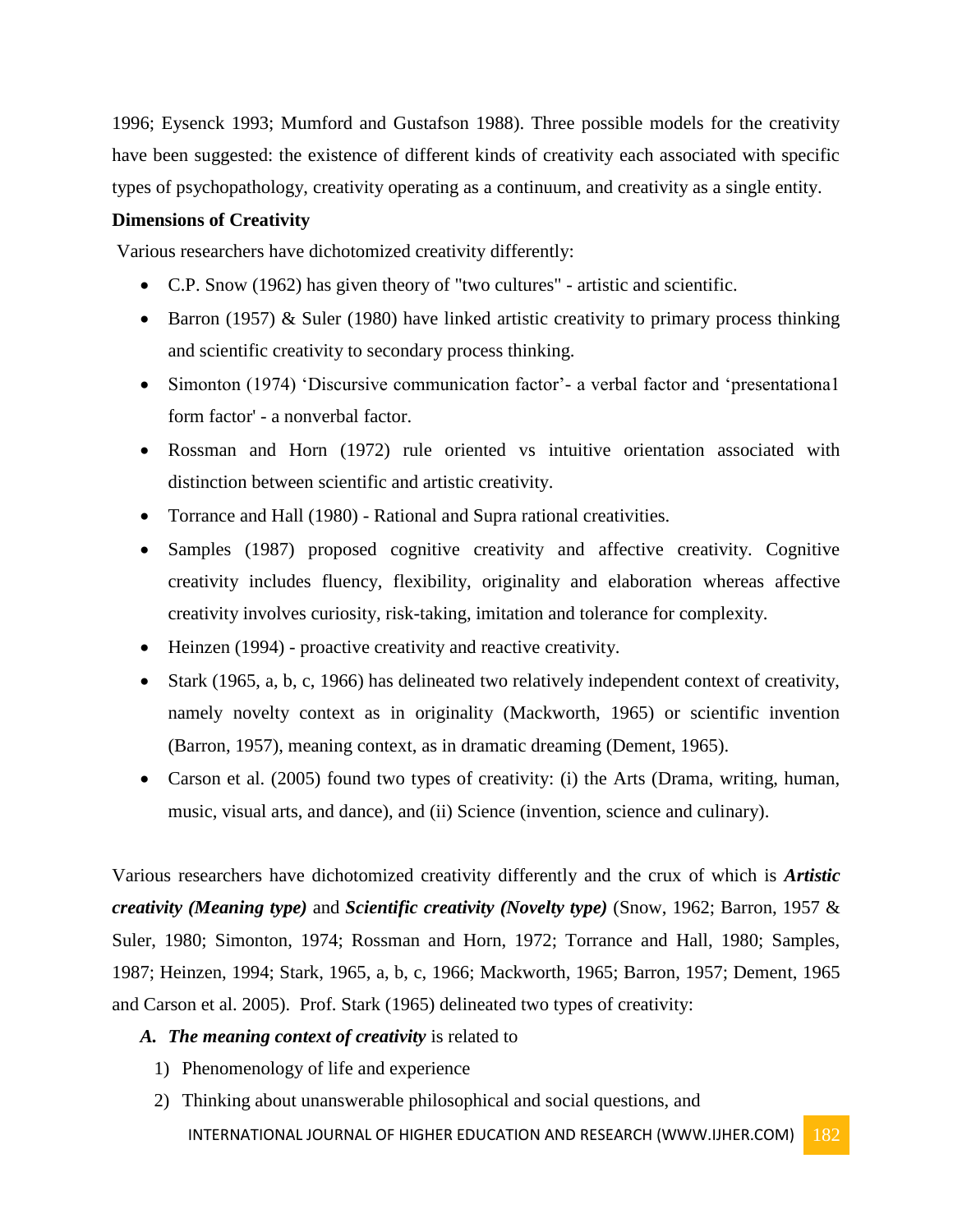1996; Eysenck 1993; Mumford and Gustafson 1988). Three possible models for the creativity have been suggested: the existence of different kinds of creativity each associated with specific types of psychopathology, creativity operating as a continuum, and creativity as a single entity.

#### **Dimensions of Creativity**

Various researchers have dichotomized creativity differently:

- C.P. Snow (1962) has given theory of "two cultures" artistic and scientific.
- **Barron** (1957) & Suler (1980) have linked artistic creativity to primary process thinking and scientific creativity to secondary process thinking.
- Simonton (1974) 'Discursive communication factor'- a verbal factor and 'presentationa1 form factor' - a nonverbal factor.
- Rossman and Horn (1972) rule oriented vs intuitive orientation associated with distinction between scientific and artistic creativity.
- Torrance and Hall (1980) Rational and Supra rational creativities.
- Samples (1987) proposed cognitive creativity and affective creativity. Cognitive creativity includes fluency, flexibility, originality and elaboration whereas affective creativity involves curiosity, risk-taking, imitation and tolerance for complexity.
- Heinzen (1994) proactive creativity and reactive creativity.
- Stark (1965, a, b, c, 1966) has delineated two relatively independent context of creativity, namely novelty context as in originality (Mackworth, 1965) or scientific invention (Barron, 1957), meaning context, as in dramatic dreaming (Dement, 1965).
- Carson et al. (2005) found two types of creativity: (i) the Arts (Drama, writing, human, music, visual arts, and dance), and (ii) Science (invention, science and culinary).

Various researchers have dichotomized creativity differently and the crux of which is *Artistic creativity (Meaning type)* and *Scientific creativity (Novelty type)* (Snow, 1962; Barron, 1957 & Suler, 1980; Simonton, 1974; Rossman and Horn, 1972; Torrance and Hall, 1980; Samples, 1987; Heinzen, 1994; Stark, 1965, a, b, c, 1966; Mackworth, 1965; Barron, 1957; Dement, 1965 and Carson et al. 2005). Prof. Stark (1965) delineated two types of creativity:

## *A. The meaning context of creativity* is related to

- 1) Phenomenology of life and experience
- INTERNATIONAL JOURNAL OF HIGHER EDUCATION AND RESEARCH (WWW.IJHER.COM) 182 2) Thinking about unanswerable philosophical and social questions, and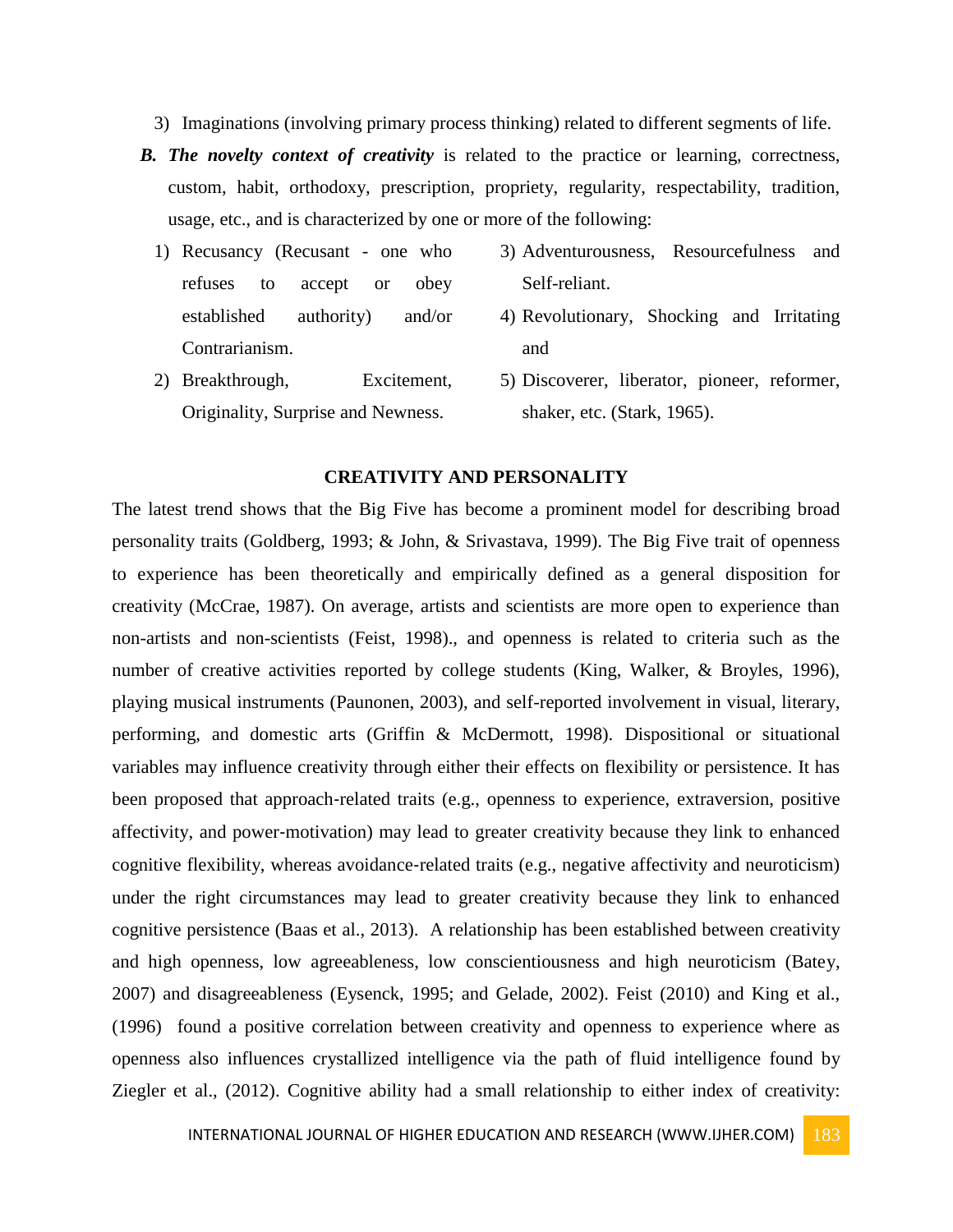- 3) Imaginations (involving primary process thinking) related to different segments of life.
- *B. The novelty context of creativity* is related to the practice or learning, correctness, custom, habit, orthodoxy, prescription, propriety, regularity, respectability, tradition, usage, etc., and is characterized by one or more of the following:
	- 1) Recusancy (Recusant one who refuses to accept or obey established authority) and/or Contrarianism. 3) Adventurousness, Resourcefulness and Self-reliant. 4) Revolutionary, Shocking and Irritating and
	- 2) Breakthrough, Excitement, Originality, Surprise and Newness. 5) Discoverer, liberator, pioneer, reformer, shaker, etc. (Stark, 1965).

#### **CREATIVITY AND PERSONALITY**

The latest trend shows that the Big Five has become a prominent model for describing broad personality traits (Goldberg, 1993; & John, & Srivastava, 1999). The Big Five trait of openness to experience has been theoretically and empirically defined as a general disposition for creativity (McCrae, 1987). On average, artists and scientists are more open to experience than non-artists and non-scientists (Feist, 1998)., and openness is related to criteria such as the number of creative activities reported by college students (King, Walker, & Broyles, 1996), playing musical instruments (Paunonen, 2003), and self-reported involvement in visual, literary, performing, and domestic arts (Griffin & McDermott, 1998). Dispositional or situational variables may influence creativity through either their effects on flexibility or persistence. It has been proposed that approach-related traits (e.g., openness to experience, extraversion, positive affectivity, and power‐motivation) may lead to greater creativity because they link to enhanced cognitive flexibility, whereas avoidance‐related traits (e.g., negative affectivity and neuroticism) under the right circumstances may lead to greater creativity because they link to enhanced cognitive persistence (Baas et al., 2013). A relationship has been established between creativity and high openness, low agreeableness, low conscientiousness and high neuroticism (Batey, 2007) and disagreeableness (Eysenck, 1995; and Gelade, 2002). Feist (2010) and King et al., (1996) found a positive correlation between creativity and openness to experience where as openness also influences crystallized intelligence via the path of fluid intelligence found by Ziegler et al., (2012). Cognitive ability had a small relationship to either index of creativity: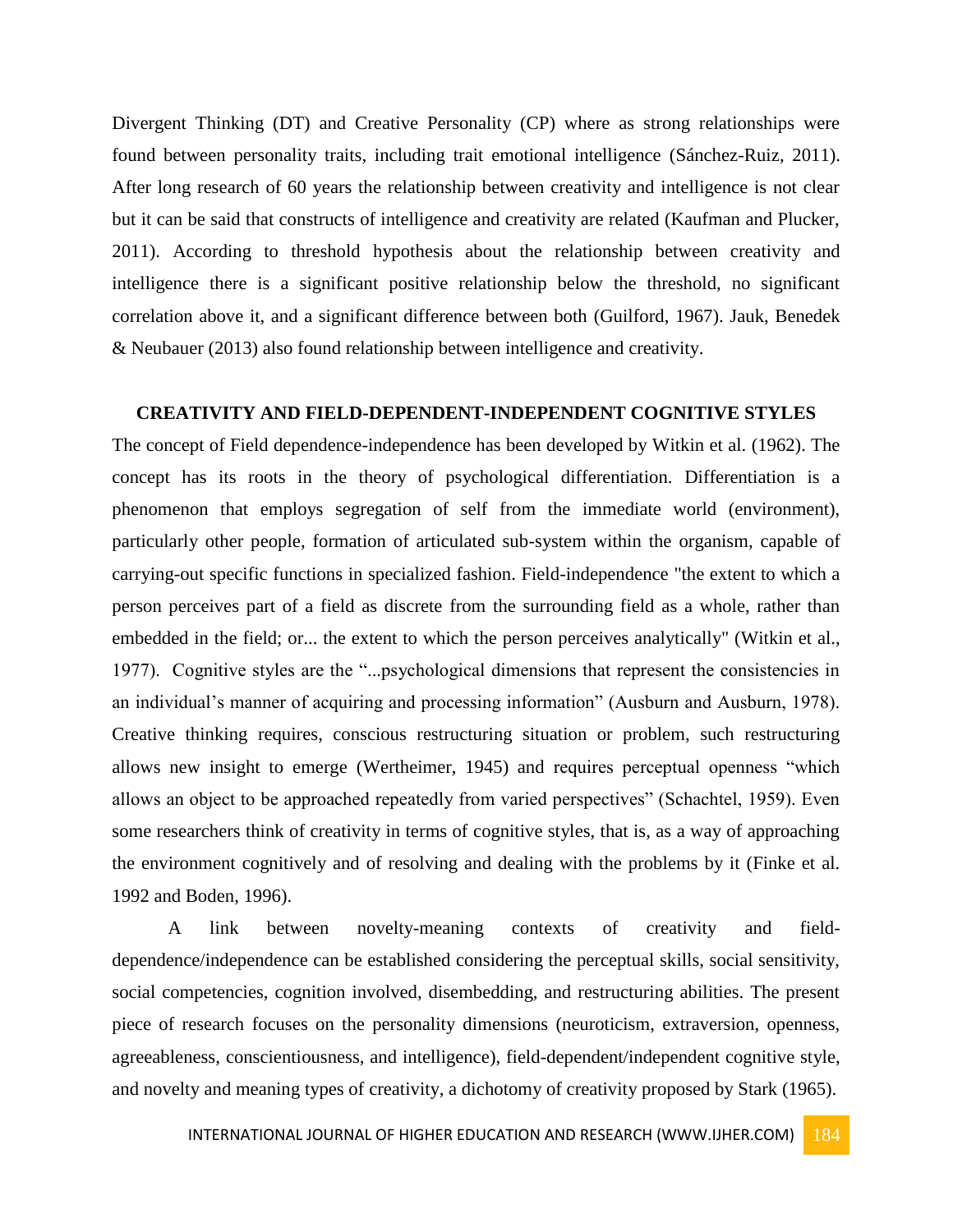Divergent Thinking (DT) and Creative Personality (CP) where as strong relationships were found between personality traits, including trait emotional intelligence (Sánchez-Ruiz, 2011). After long research of 60 years the relationship between creativity and intelligence is not clear but it can be said that constructs of intelligence and creativity are related (Kaufman and Plucker, 2011). According to threshold hypothesis about the relationship between creativity and intelligence there is a significant positive relationship below the threshold, no significant correlation above it, and a significant difference between both (Guilford, 1967). Jauk, Benedek & Neubauer (2013) also found relationship between intelligence and creativity.

#### **CREATIVITY AND FIELD-DEPENDENT-INDEPENDENT COGNITIVE STYLES**

The concept of Field dependence-independence has been developed by Witkin et al. (1962). The concept has its roots in the theory of psychological differentiation. Differentiation is a phenomenon that employs segregation of self from the immediate world (environment), particularly other people, formation of articulated sub-system within the organism, capable of carrying-out specific functions in specialized fashion. Field-independence "the extent to which a person perceives part of a field as discrete from the surrounding field as a whole, rather than embedded in the field; or... the extent to which the person perceives analytically" (Witkin et al., 1977). Cognitive styles are the "...psychological dimensions that represent the consistencies in an individual's manner of acquiring and processing information" (Ausburn and Ausburn, 1978). Creative thinking requires, conscious restructuring situation or problem, such restructuring allows new insight to emerge (Wertheimer, 1945) and requires perceptual openness "which allows an object to be approached repeatedly from varied perspectives" (Schachtel, 1959). Even some researchers think of creativity in terms of cognitive styles, that is, as a way of approaching the environment cognitively and of resolving and dealing with the problems by it (Finke et al. 1992 and Boden, 1996).

A link between novelty-meaning contexts of creativity and fielddependence/independence can be established considering the perceptual skills, social sensitivity, social competencies, cognition involved, disembedding, and restructuring abilities. The present piece of research focuses on the personality dimensions (neuroticism, extraversion, openness, agreeableness, conscientiousness, and intelligence), field-dependent/independent cognitive style, and novelty and meaning types of creativity, a dichotomy of creativity proposed by Stark (1965).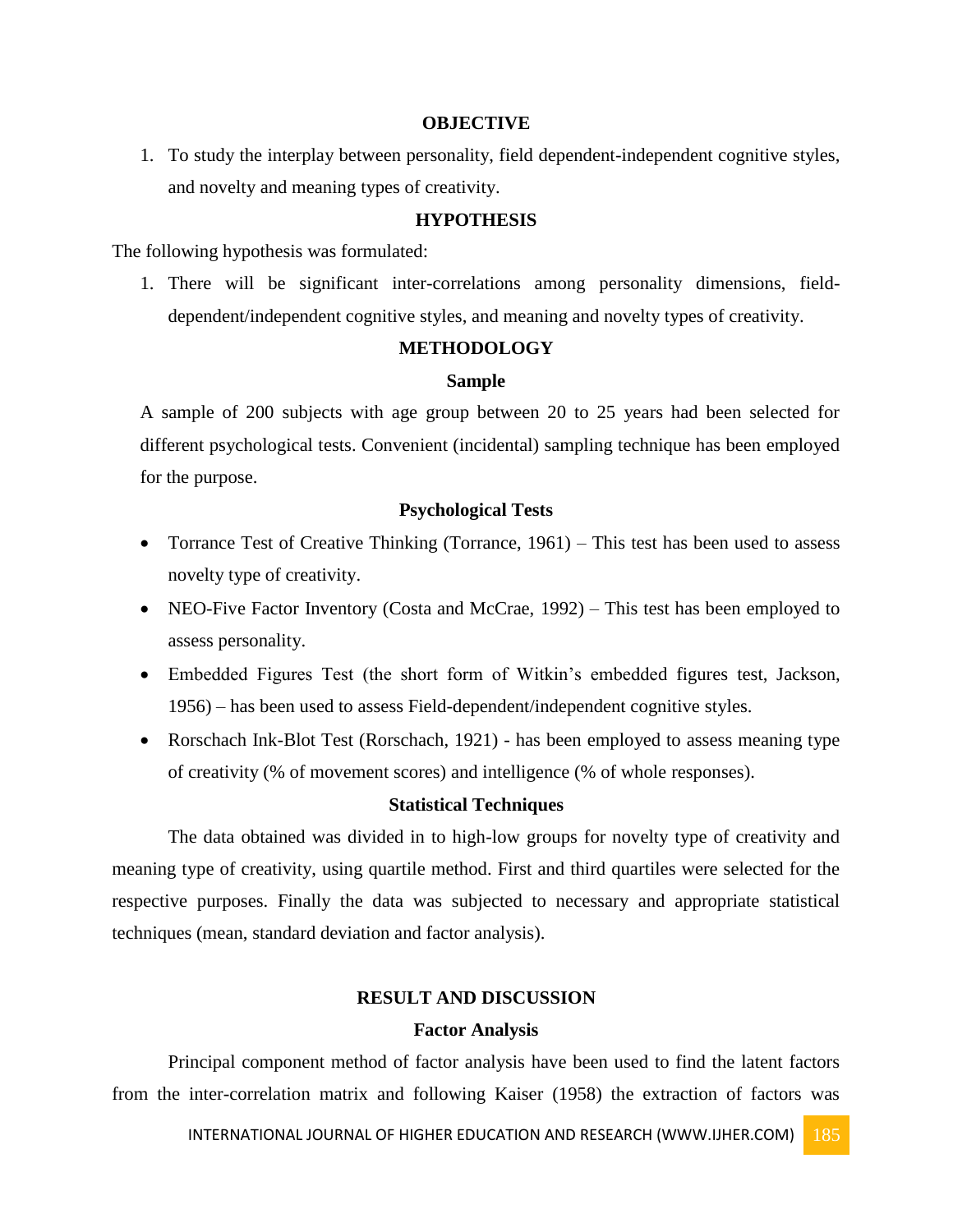#### **OBJECTIVE**

1. To study the interplay between personality, field dependent-independent cognitive styles, and novelty and meaning types of creativity.

## **HYPOTHESIS**

The following hypothesis was formulated:

1. There will be significant inter-correlations among personality dimensions, fielddependent/independent cognitive styles, and meaning and novelty types of creativity.

#### **METHODOLOGY**

#### **Sample**

A sample of 200 subjects with age group between 20 to 25 years had been selected for different psychological tests. Convenient (incidental) sampling technique has been employed for the purpose.

# **Psychological Tests**

- Torrance Test of Creative Thinking (Torrance,  $1961$ ) This test has been used to assess novelty type of creativity.
- NEO-Five Factor Inventory (Costa and McCrae, 1992) This test has been employed to assess personality.
- Embedded Figures Test (the short form of Witkin's embedded figures test, Jackson, 1956) – has been used to assess Field-dependent/independent cognitive styles.
- Rorschach Ink-Blot Test (Rorschach, 1921) has been employed to assess meaning type of creativity (% of movement scores) and intelligence (% of whole responses).

# **Statistical Techniques**

The data obtained was divided in to high-low groups for novelty type of creativity and meaning type of creativity, using quartile method. First and third quartiles were selected for the respective purposes. Finally the data was subjected to necessary and appropriate statistical techniques (mean, standard deviation and factor analysis).

#### **RESULT AND DISCUSSION**

#### **Factor Analysis**

Principal component method of factor analysis have been used to find the latent factors from the inter-correlation matrix and following Kaiser (1958) the extraction of factors was

INTERNATIONAL JOURNAL OF HIGHER EDUCATION AND RESEARCH (WWW.IJHER.COM) 185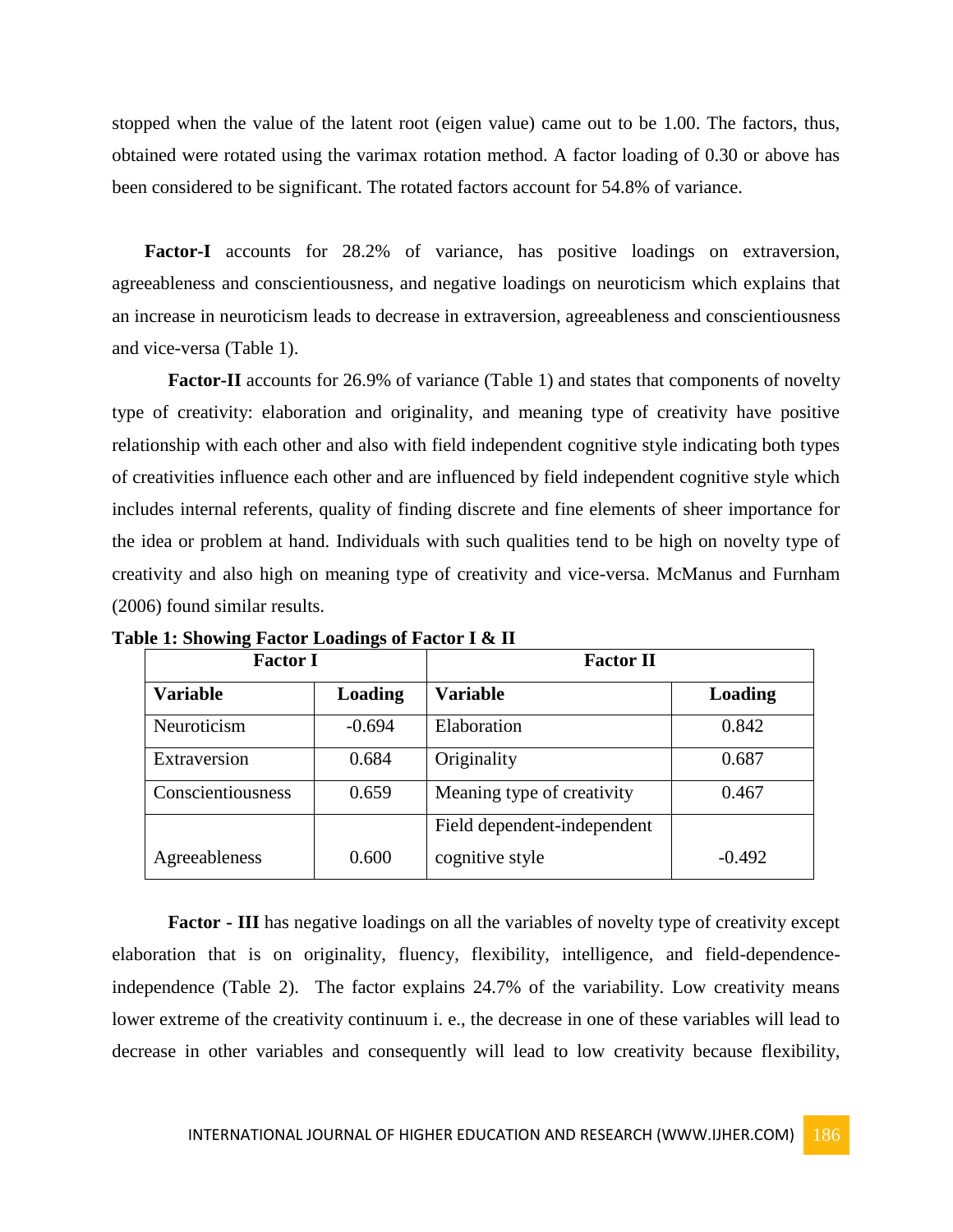stopped when the value of the latent root (eigen value) came out to be 1.00. The factors, thus, obtained were rotated using the varimax rotation method. A factor loading of 0.30 or above has been considered to be significant. The rotated factors account for 54.8% of variance.

 **Factor-I** accounts for 28.2% of variance, has positive loadings on extraversion, agreeableness and conscientiousness, and negative loadings on neuroticism which explains that an increase in neuroticism leads to decrease in extraversion, agreeableness and conscientiousness and vice-versa (Table 1).

 **Factor-II** accounts for 26.9% of variance (Table 1) and states that components of novelty type of creativity: elaboration and originality, and meaning type of creativity have positive relationship with each other and also with field independent cognitive style indicating both types of creativities influence each other and are influenced by field independent cognitive style which includes internal referents, quality of finding discrete and fine elements of sheer importance for the idea or problem at hand. Individuals with such qualities tend to be high on novelty type of creativity and also high on meaning type of creativity and vice-versa. McManus and Furnham (2006) found similar results.

| <b>Factor I</b>   |          | <b>Factor II</b>            |          |
|-------------------|----------|-----------------------------|----------|
| <b>Variable</b>   | Loading  | <b>Variable</b>             | Loading  |
| Neuroticism       | $-0.694$ | Elaboration                 | 0.842    |
| Extraversion      | 0.684    | Originality                 | 0.687    |
| Conscientiousness | 0.659    | Meaning type of creativity  | 0.467    |
|                   |          | Field dependent-independent |          |
| Agreeableness     | 0.600    | cognitive style             | $-0.492$ |

**Table 1: Showing Factor Loadings of Factor I & II**

**Factor - III** has negative loadings on all the variables of novelty type of creativity except elaboration that is on originality, fluency, flexibility, intelligence, and field-dependenceindependence (Table 2). The factor explains 24.7% of the variability. Low creativity means lower extreme of the creativity continuum i. e., the decrease in one of these variables will lead to decrease in other variables and consequently will lead to low creativity because flexibility,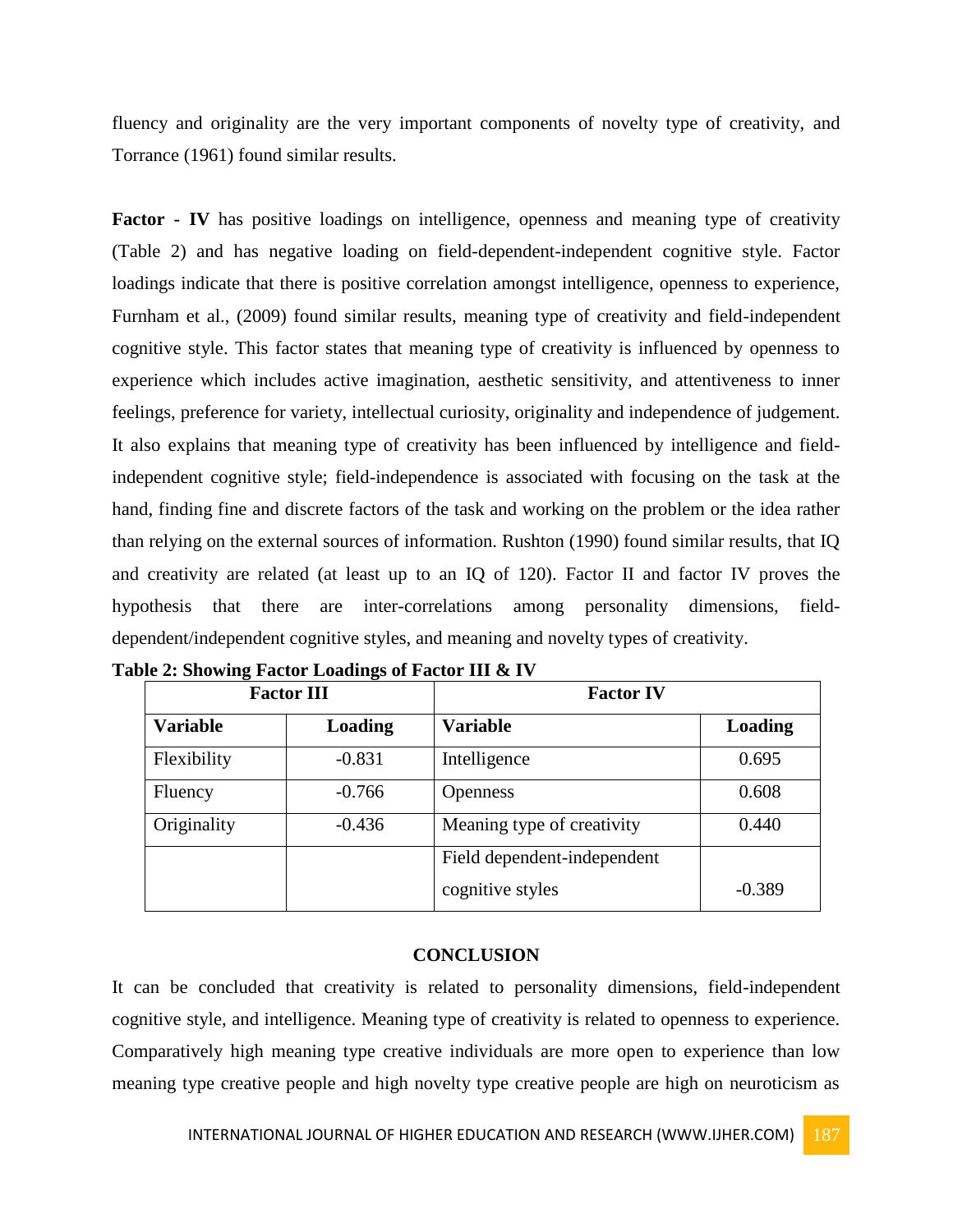fluency and originality are the very important components of novelty type of creativity, and Torrance (1961) found similar results.

**Factor - IV** has positive loadings on intelligence, openness and meaning type of creativity (Table 2) and has negative loading on field-dependent-independent cognitive style. Factor loadings indicate that there is positive correlation amongst intelligence, openness to experience, Furnham et al., (2009) found similar results, meaning type of creativity and field-independent cognitive style. This factor states that meaning type of creativity is influenced by openness to experience which includes active imagination, aesthetic sensitivity, and attentiveness to inner feelings, preference for variety, intellectual curiosity, originality and independence of judgement. It also explains that meaning type of creativity has been influenced by intelligence and fieldindependent cognitive style; field-independence is associated with focusing on the task at the hand, finding fine and discrete factors of the task and working on the problem or the idea rather than relying on the external sources of information. Rushton (1990) found similar results, that IQ and creativity are related (at least up to an IQ of 120). Factor II and factor IV proves the hypothesis that there are inter-correlations among personality dimensions, fielddependent/independent cognitive styles, and meaning and novelty types of creativity.

| <b>Factor III</b> |          | <b>Factor IV</b>            |          |
|-------------------|----------|-----------------------------|----------|
| <b>Variable</b>   | Loading  | <b>Variable</b>             | Loading  |
| Flexibility       | $-0.831$ | Intelligence                | 0.695    |
| Fluency           | $-0.766$ | <b>Openness</b>             | 0.608    |
| Originality       | $-0.436$ | Meaning type of creativity  | 0.440    |
|                   |          | Field dependent-independent |          |
|                   |          | cognitive styles            | $-0.389$ |

**Table 2: Showing Factor Loadings of Factor III & IV**

### **CONCLUSION**

It can be concluded that creativity is related to personality dimensions, field-independent cognitive style, and intelligence. Meaning type of creativity is related to openness to experience. Comparatively high meaning type creative individuals are more open to experience than low meaning type creative people and high novelty type creative people are high on neuroticism as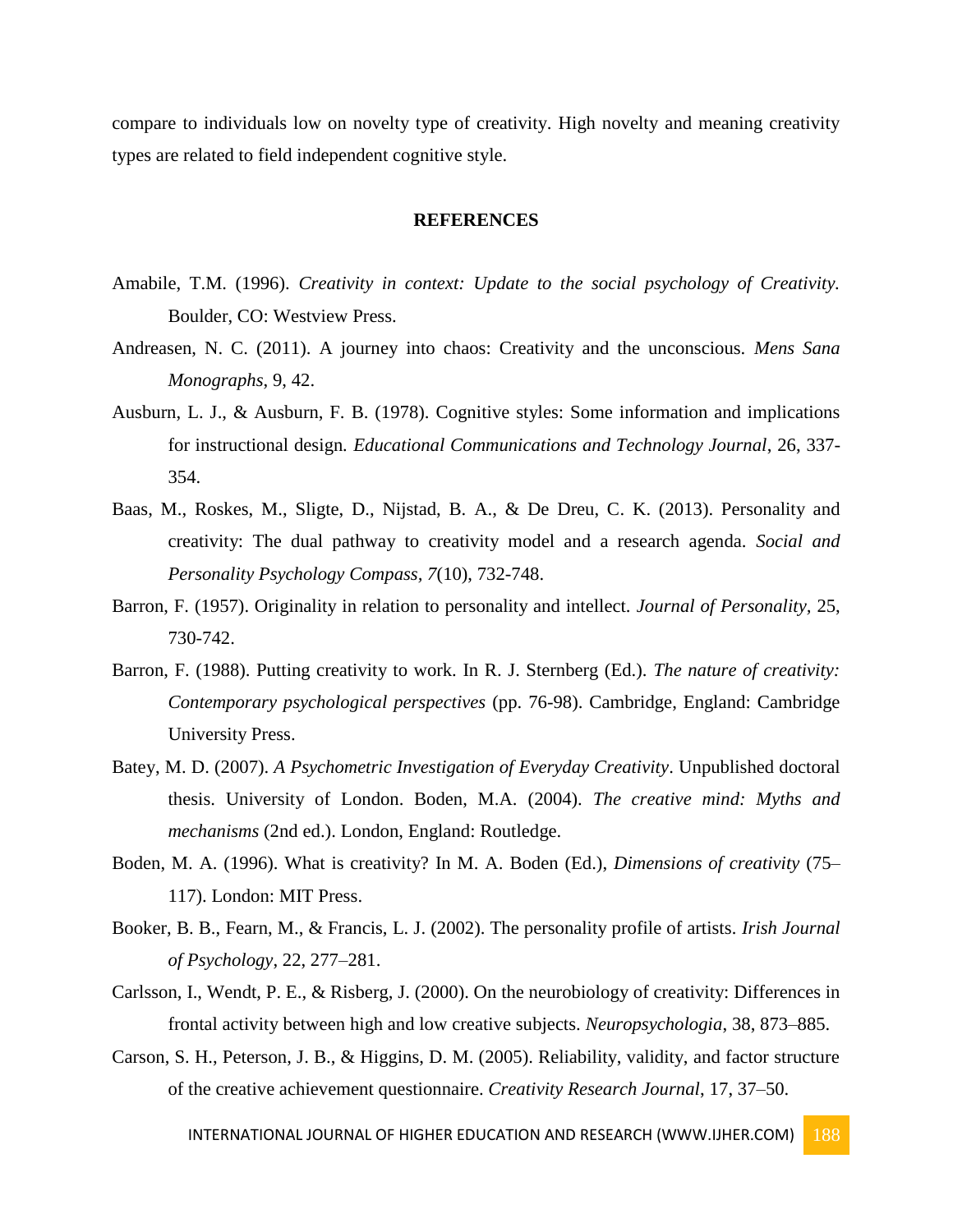compare to individuals low on novelty type of creativity. High novelty and meaning creativity types are related to field independent cognitive style.

#### **REFERENCES**

- Amabile, T.M. (1996). *Creativity in context: Update to the social psychology of Creativity.* Boulder, CO: Westview Press.
- Andreasen, N. C. (2011). A journey into chaos: Creativity and the unconscious. *Mens Sana Monographs*, 9, 42.
- Ausburn, L. J., & Ausburn, F. B. (1978). Cognitive styles: Some information and implications for instructional design*. Educational Communications and Technology Journal*, 26, 337- 354.
- Baas, M., Roskes, M., Sligte, D., Nijstad, B. A., & De Dreu, C. K. (2013). Personality and creativity: The dual pathway to creativity model and a research agenda. *Social and Personality Psychology Compass, 7*(10), 732-748.
- Barron, F. (1957). Originality in relation to personality and intellect. *Journal of Personality,* 25, 730-742.
- Barron, F. (1988). Putting creativity to work. In R. J. Sternberg (Ed.). *The nature of creativity: Contemporary psychological perspectives* (pp. 76-98). Cambridge, England: Cambridge University Press.
- Batey, M. D. (2007). *A Psychometric Investigation of Everyday Creativity*. Unpublished doctoral thesis. University of London. Boden, M.A. (2004). *The creative mind: Myths and mechanisms* (2nd ed.). London, England: Routledge.
- Boden, M. A. (1996). What is creativity? In M. A. Boden (Ed.), *Dimensions of creativity* (75– 117). London: MIT Press.
- Booker, B. B., Fearn, M., & Francis, L. J. (2002). The personality profile of artists*. Irish Journal of Psychology*, 22, 277–281.
- Carlsson, I., Wendt, P. E., & Risberg, J. (2000). On the neurobiology of creativity: Differences in frontal activity between high and low creative subjects. *Neuropsychologia*, 38, 873–885.
- Carson, S. H., Peterson, J. B., & Higgins, D. M. (2005). Reliability, validity, and factor structure of the creative achievement questionnaire. *Creativity Research Journal*, 17, 37–50.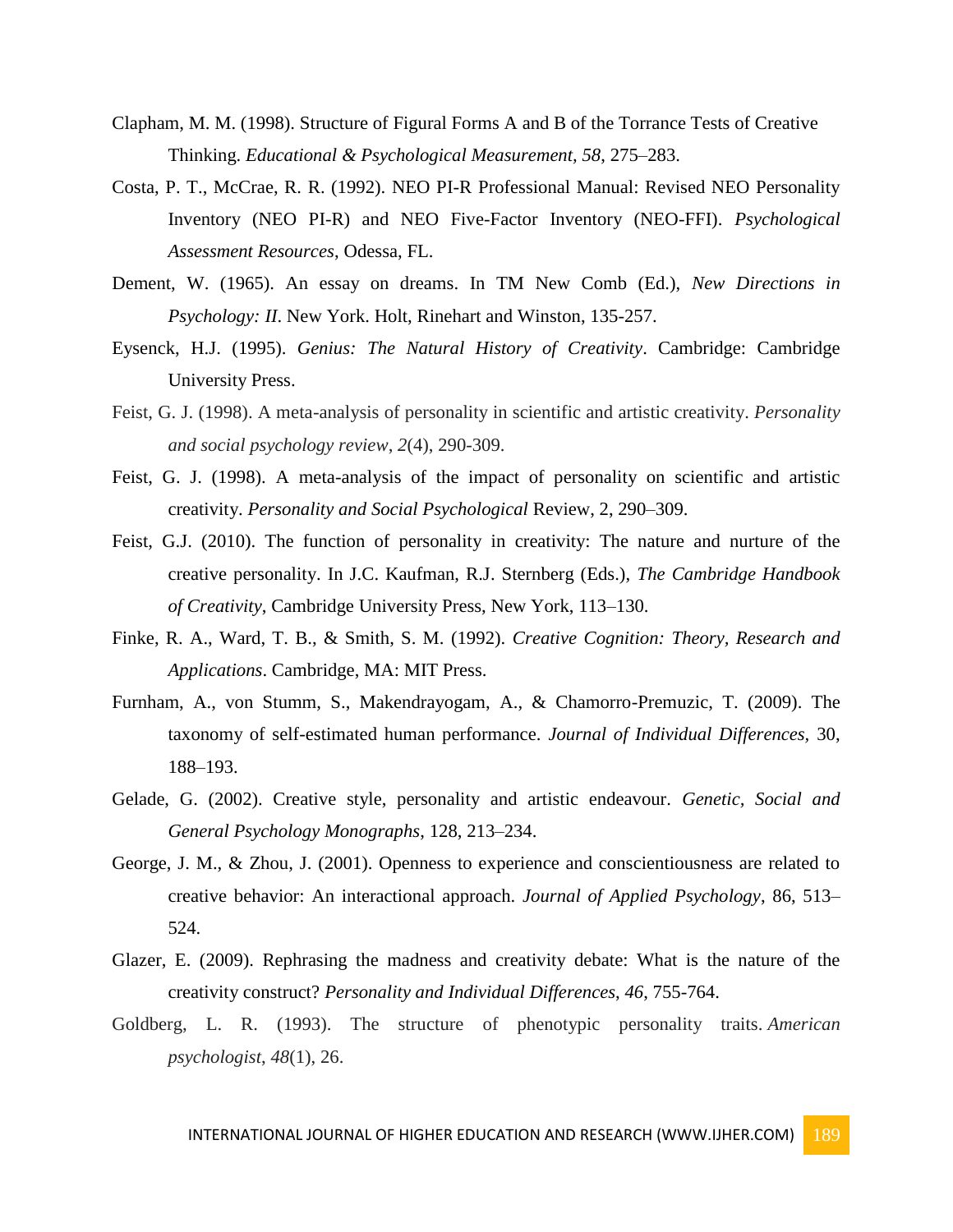- Clapham, M. M. (1998). Structure of Figural Forms A and B of the Torrance Tests of Creative Thinking. *Educational & Psychological Measurement, 58*, 275–283.
- Costa, P. T., McCrae, R. R. (1992). NEO PI-R Professional Manual: Revised NEO Personality Inventory (NEO PI-R) and NEO Five-Factor Inventory (NEO-FFI). *Psychological Assessment Resources*, Odessa, FL.
- Dement, W. (1965). An essay on dreams. In TM New Comb (Ed.), *New Directions in Psychology: II*. New York. Holt, Rinehart and Winston, 135-257.
- Eysenck, H.J. (1995). *Genius: The Natural History of Creativity*. Cambridge: Cambridge University Press.
- Feist, G. J. (1998). A meta-analysis of personality in scientific and artistic creativity. *Personality and social psychology review*, *2*(4), 290-309.
- Feist, G. J. (1998). A meta-analysis of the impact of personality on scientific and artistic creativity. *Personality and Social Psychological* Review, 2, 290–309.
- Feist, G.J. (2010). The function of personality in creativity: The nature and nurture of the creative personality. In J.C. Kaufman, R.J. Sternberg (Eds.), *The Cambridge Handbook of Creativity*, Cambridge University Press, New York, 113–130.
- Finke, R. A., Ward, T. B., & Smith, S. M. (1992). *Creative Cognition: Theory, Research and Applications*. Cambridge, MA: MIT Press.
- Furnham, A., von Stumm, S., Makendrayogam, A., & Chamorro-Premuzic, T. (2009). The taxonomy of self-estimated human performance. *Journal of Individual Differences,* 30, 188–193.
- Gelade, G. (2002). Creative style, personality and artistic endeavour. *Genetic, Social and General Psychology Monographs*, 128, 213–234.
- George, J. M., & Zhou, J. (2001). Openness to experience and conscientiousness are related to creative behavior: An interactional approach. *Journal of Applied Psychology*, 86, 513– 524.
- Glazer, E. (2009). Rephrasing the madness and creativity debate: What is the nature of the creativity construct? *Personality and Individual Differences*, *46*, 755-764.
- Goldberg, L. R. (1993). The structure of phenotypic personality traits. *American psychologist*, *48*(1), 26.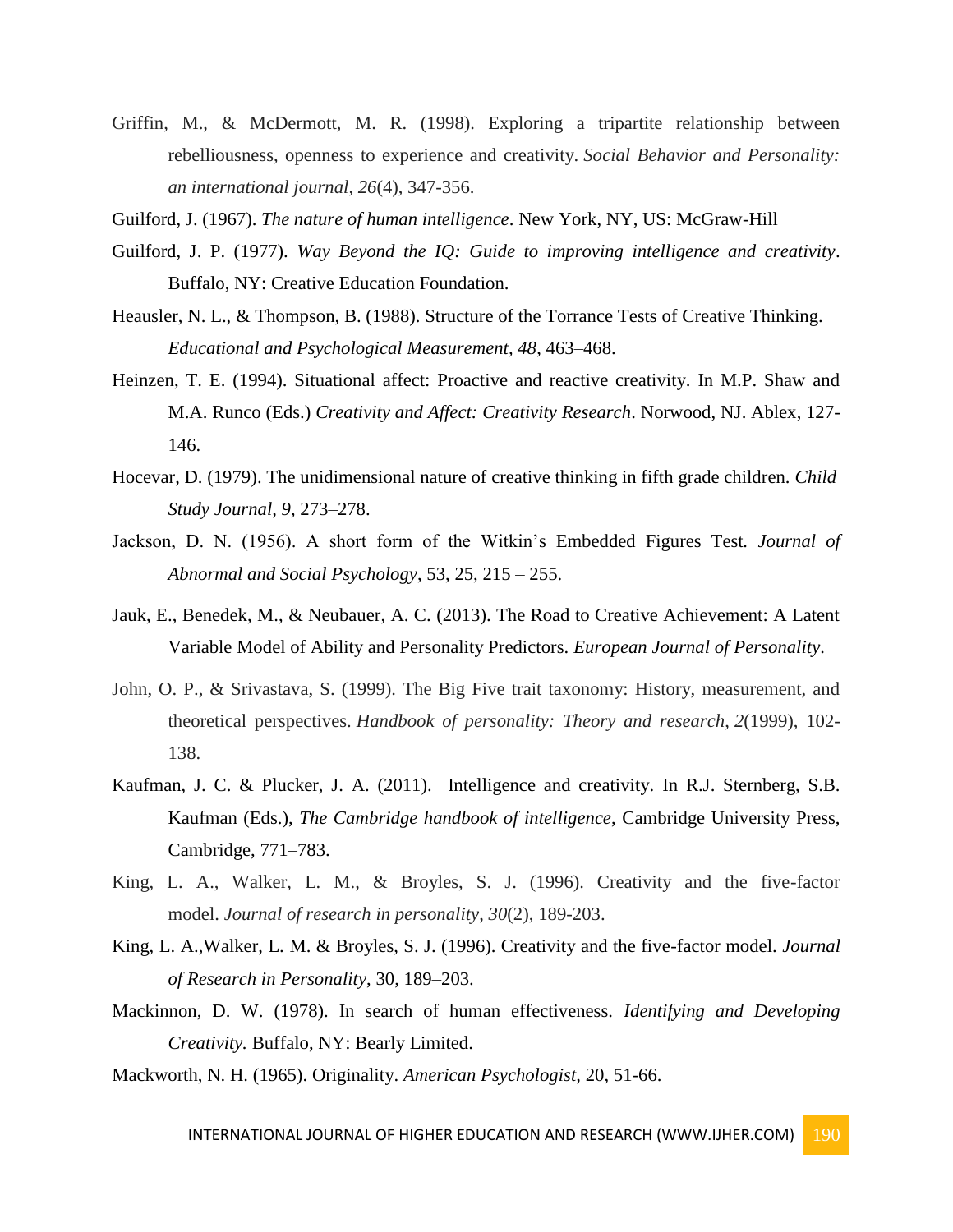Griffin, M., & McDermott, M. R. (1998). Exploring a tripartite relationship between rebelliousness, openness to experience and creativity. *Social Behavior and Personality: an international journal*, *26*(4), 347-356.

Guilford, J. (1967). *The nature of human intelligence*. New York, NY, US: McGraw-Hill

- Guilford, J. P. (1977). *Way Beyond the IQ: Guide to improving intelligence and creativity*. Buffalo, NY: Creative Education Foundation.
- Heausler, N. L., & Thompson, B. (1988). Structure of the Torrance Tests of Creative Thinking. *Educational and Psychological Measurement, 48*, 463–468.
- Heinzen, T. E. (1994). Situational affect: Proactive and reactive creativity. In M.P. Shaw and M.A. Runco (Eds.) *Creativity and Affect: Creativity Research*. Norwood, NJ. Ablex, 127- 146.
- Hocevar, D. (1979). The unidimensional nature of creative thinking in fifth grade children. *Child Study Journal, 9*, 273–278.
- Jackson, D. N. (1956). A short form of the Witkin's Embedded Figures Test*. Journal of Abnormal and Social Psychology*, 53, 25, 215 – 255.
- Jauk, E., Benedek, M., & Neubauer, A. C. (2013). The Road to Creative Achievement: A Latent Variable Model of Ability and Personality Predictors. *European Journal of Personality*.
- John, O. P., & Srivastava, S. (1999). The Big Five trait taxonomy: History, measurement, and theoretical perspectives. *Handbook of personality: Theory and research*, *2*(1999), 102- 138.
- Kaufman, J. C. & Plucker, J. A. (2011). Intelligence and creativity. In R.J. Sternberg, S.B. Kaufman (Eds.), *The Cambridge handbook of intelligence*, Cambridge University Press, Cambridge, 771–783.
- King, L. A., Walker, L. M., & Broyles, S. J. (1996). Creativity and the five-factor model. *Journal of research in personality*, *30*(2), 189-203.
- King, L. A.,Walker, L. M. & Broyles, S. J. (1996). Creativity and the five-factor model. *Journal of Research in Personality*, 30, 189–203.
- Mackinnon, D. W. (1978). In search of human effectiveness. *Identifying and Developing Creativity.* Buffalo, NY: Bearly Limited.
- Mackworth, N. H. (1965). Originality. *American Psychologist,* 20, 51-66.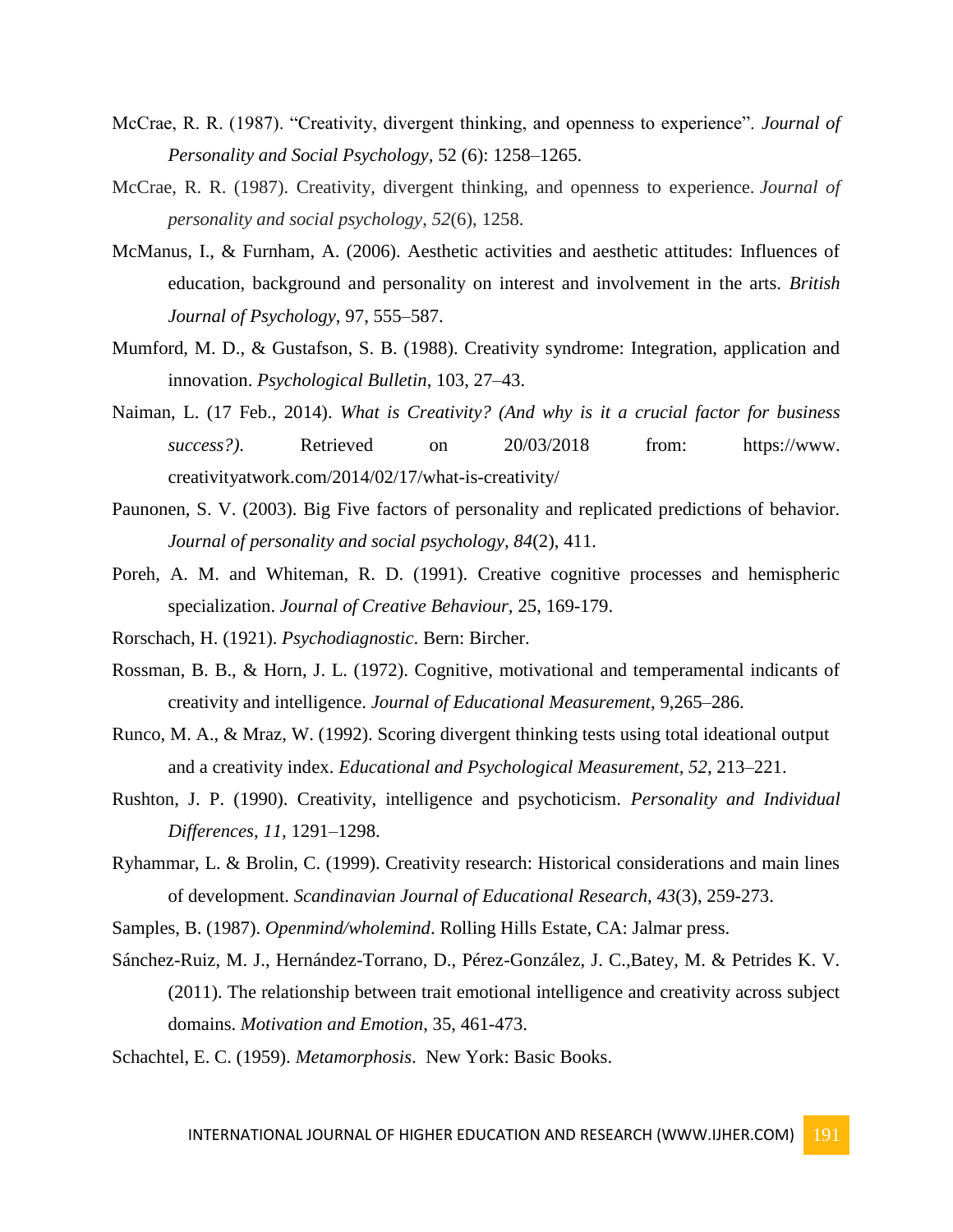- McCrae, R. R. (1987). "Creativity, divergent thinking, and openness to experience". *Journal of Personality and Social Psychology,* 52 (6): 1258–1265.
- McCrae, R. R. (1987). Creativity, divergent thinking, and openness to experience. *Journal of personality and social psychology*, *52*(6), 1258.
- McManus, I., & Furnham, A. (2006). Aesthetic activities and aesthetic attitudes: Influences of education, background and personality on interest and involvement in the arts. *British Journal of Psychology*, 97, 555–587.
- Mumford, M. D., & Gustafson, S. B. (1988). Creativity syndrome: Integration, application and innovation. *Psychological Bulletin*, 103, 27–43.
- Naiman, L. (17 Feb., 2014). *What is Creativity? (And why is it a crucial factor for business success?)*. Retrieved on 20/03/2018 from: https://www. creativityatwork.com/2014/02/17/what-is-creativity/
- Paunonen, S. V. (2003). Big Five factors of personality and replicated predictions of behavior. *Journal of personality and social psychology, 84*(2), 411.
- Poreh, A. M. and Whiteman, R. D. (1991). Creative cognitive processes and hemispheric specialization. *Journal of Creative Behaviour,* 25, 169-179.
- Rorschach, H. (1921). *Psychodiagnostic*. Bern: Bircher.
- Rossman, B. B., & Horn, J. L. (1972). Cognitive, motivational and temperamental indicants of creativity and intelligence. *Journal of Educational Measurement*, 9,265–286.
- Runco, M. A., & Mraz, W. (1992). Scoring divergent thinking tests using total ideational output and a creativity index. *Educational and Psychological Measurement, 52*, 213–221.
- Rushton, J. P. (1990). Creativity, intelligence and psychoticism. *Personality and Individual Differences*, *11,* 1291–1298.
- Ryhammar, L. & Brolin, C. (1999). Creativity research: Historical considerations and main lines of development. *Scandinavian Journal of Educational Research, 43*(3), 259-273.
- Samples, B. (1987). *Openmind/wholemind*. Rolling Hills Estate, CA: Jalmar press.
- Sánchez-Ruiz, M. J., Hernández-Torrano, D., Pérez-González, J. C.,Batey, M. & Petrides K. V. (2011). The relationship between trait emotional intelligence and creativity across subject domains. *Motivation and Emotion*, 35, 461-473.
- Schachtel, E. C. (1959). *Metamorphosis*. New York: Basic Books.